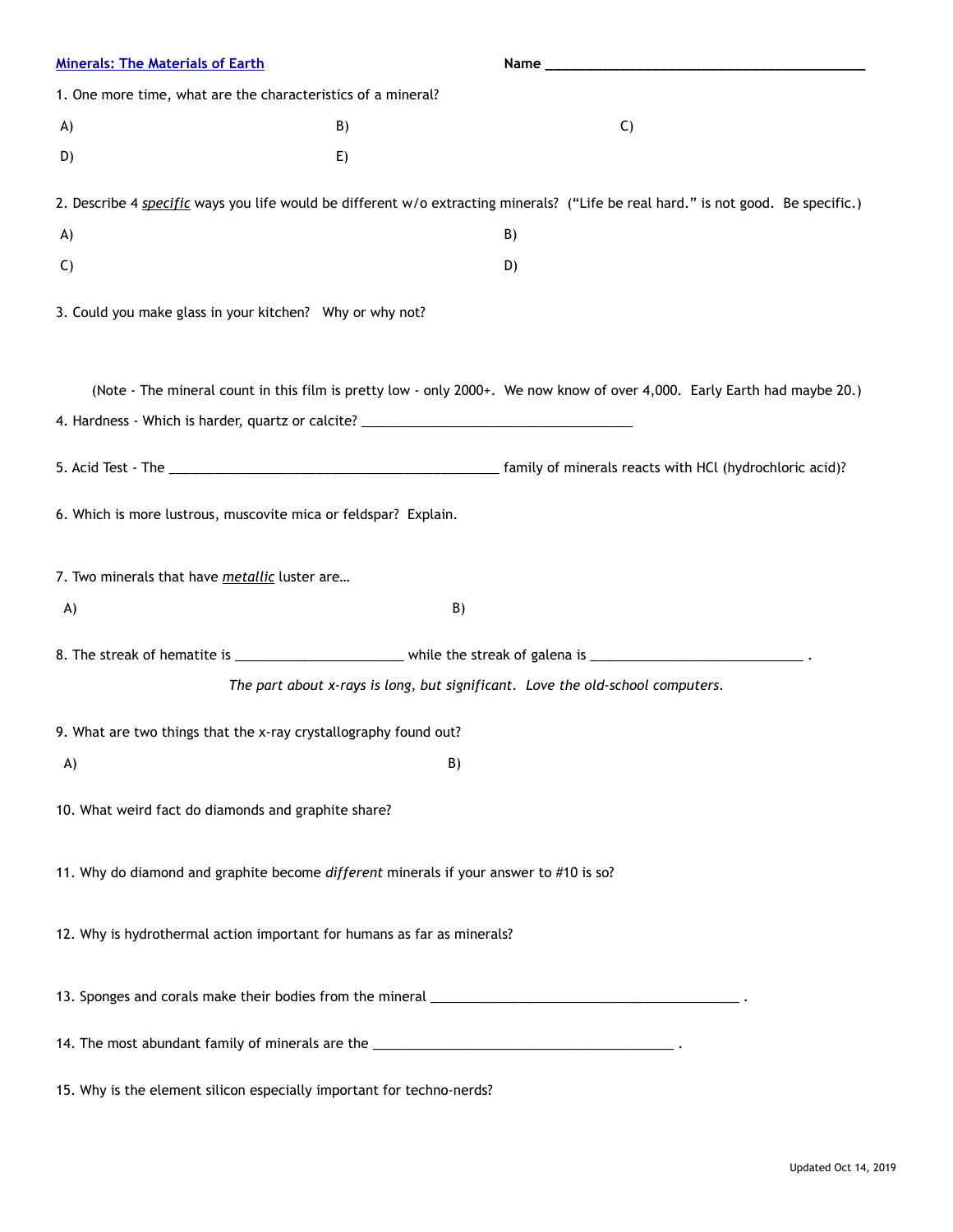| <b>Minerals: The Materials of Earth</b>                                                |    |                                                                                                                                   |
|----------------------------------------------------------------------------------------|----|-----------------------------------------------------------------------------------------------------------------------------------|
| 1. One more time, what are the characteristics of a mineral?                           |    |                                                                                                                                   |
| A)                                                                                     | B) | $\mathsf{C}$                                                                                                                      |
| D)                                                                                     | E) |                                                                                                                                   |
|                                                                                        |    | 2. Describe 4 specific ways you life would be different w/o extracting minerals? ("Life be real hard." is not good. Be specific.) |
| A)                                                                                     |    | B)                                                                                                                                |
| $\mathsf{C}$                                                                           |    | D)                                                                                                                                |
| 3. Could you make glass in your kitchen? Why or why not?                               |    |                                                                                                                                   |
| 4. Hardness - Which is harder, quartz or calcite? ______________________________       |    | (Note - The mineral count in this film is pretty low - only 2000+. We now know of over 4,000. Early Earth had maybe 20.)          |
|                                                                                        |    |                                                                                                                                   |
|                                                                                        |    |                                                                                                                                   |
| 6. Which is more lustrous, muscovite mica or feldspar? Explain.                        |    |                                                                                                                                   |
| 7. Two minerals that have metallic luster are                                          |    |                                                                                                                                   |
| A)                                                                                     |    | B)                                                                                                                                |
|                                                                                        |    |                                                                                                                                   |
|                                                                                        |    | The part about x-rays is long, but significant. Love the old-school computers.                                                    |
| 9. What are two things that the x-ray crystallography found out?                       |    |                                                                                                                                   |
| A)                                                                                     |    | B)                                                                                                                                |
| 10. What weird fact do diamonds and graphite share?                                    |    |                                                                                                                                   |
| 11. Why do diamond and graphite become different minerals if your answer to #10 is so? |    |                                                                                                                                   |
| 12. Why is hydrothermal action important for humans as far as minerals?                |    |                                                                                                                                   |
|                                                                                        |    |                                                                                                                                   |
|                                                                                        |    | 14. The most abundant family of minerals are the _______________________________                                                  |
| 15. Why is the element silicon especially important for techno-nerds?                  |    |                                                                                                                                   |